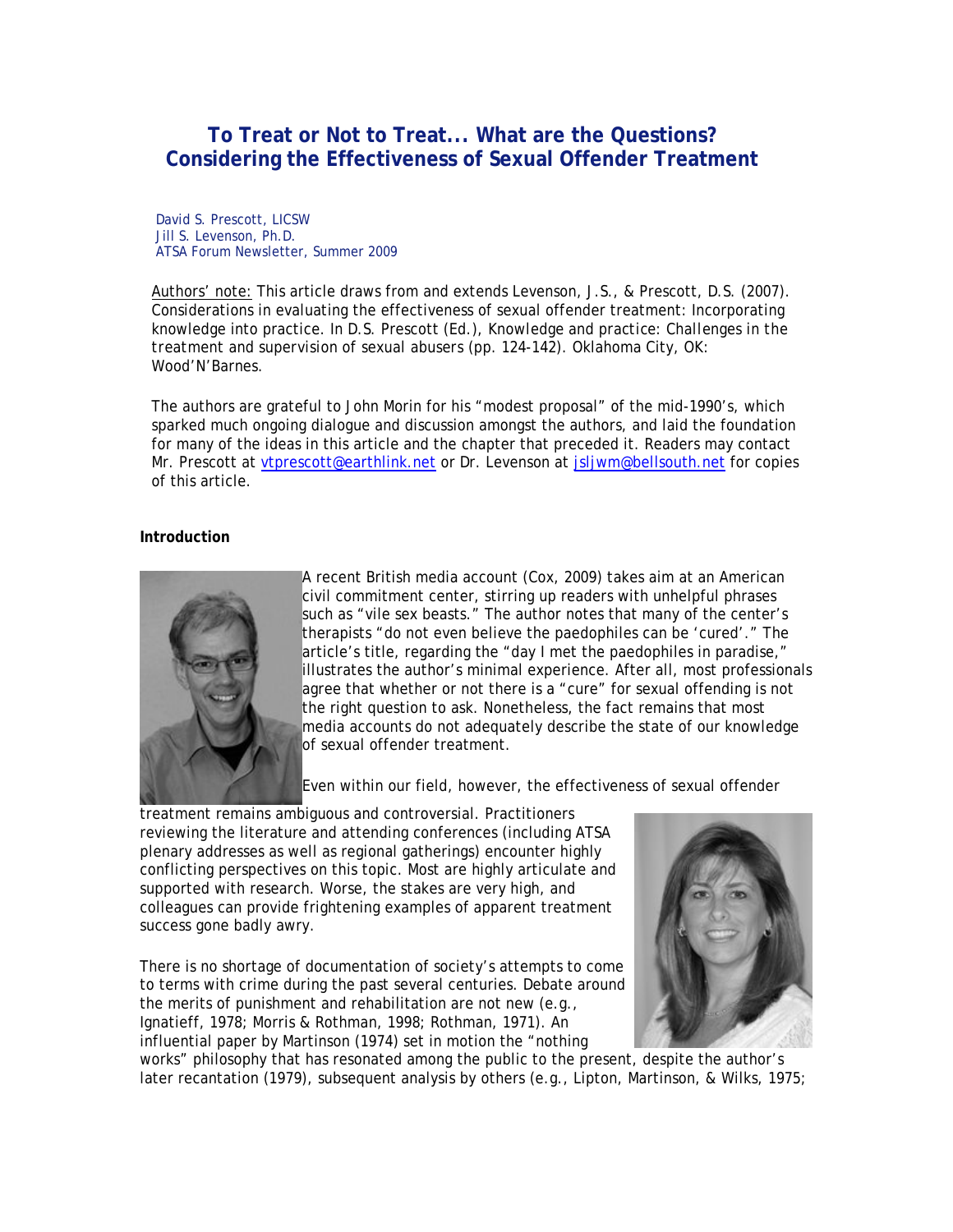# **To Treat or Not to Treat... What are the Questions? Considering the Effectiveness of Sexual Offender Treatment**

David S. Prescott, LICSW Jill S. Levenson, Ph.D. ATSA Forum Newsletter, Summer 2009

Authors' note: This article draws from and extends Levenson, J.S., & Prescott, D.S. (2007). Considerations in evaluating the effectiveness of sexual offender treatment: Incorporating knowledge into practice. In D.S. Prescott (Ed.), *Knowledge and practice: Challenges in the treatment and supervision of sexual abusers* (pp. 124-142)*.* Oklahoma City, OK: Wood'N'Barnes.

The authors are grateful to John Morin for his "modest proposal" of the mid-1990's, which sparked much ongoing dialogue and discussion amongst the authors, and laid the foundation for many of the ideas in this article and the chapter that preceded it. Readers may contact Mr. Prescott at vtprescott@earthlink.net or Dr. Levenson at jsljwm@bellsouth.net for copies of this article.

#### **Introduction**



A recent British media account (Cox, 2009) takes aim at an American civil commitment center, stirring up readers with unhelpful phrases such as "vile sex beasts." The author notes that many of the center's therapists "do not even believe the paedophiles can be 'cured'." The article's title, regarding the "day I met the paedophiles in paradise," illustrates the author's minimal experience. After all, most professionals agree that whether or not there is a "cure" for sexual offending is not the right question to ask. Nonetheless, the fact remains that most media accounts do not adequately describe the state of our knowledge of sexual offender treatment.

Even within our field, however, the effectiveness of sexual offender

treatment remains ambiguous and controversial. Practitioners reviewing the literature and attending conferences (including ATSA plenary addresses as well as regional gatherings) encounter highly conflicting perspectives on this topic. Most are highly articulate and supported with research. Worse, the stakes are very high, and colleagues can provide frightening examples of apparent treatment success gone badly awry.

There is no shortage of documentation of society's attempts to come to terms with crime during the past several centuries. Debate around the merits of punishment and rehabilitation are not new (e.g., Ignatieff, 1978; Morris & Rothman, 1998; Rothman, 1971). An influential paper by Martinson (1974) set in motion the "nothing



works" philosophy that has resonated among the public to the present, despite the author's later recantation (1979), subsequent analysis by others (e.g., Lipton, Martinson, & Wilks, 1975;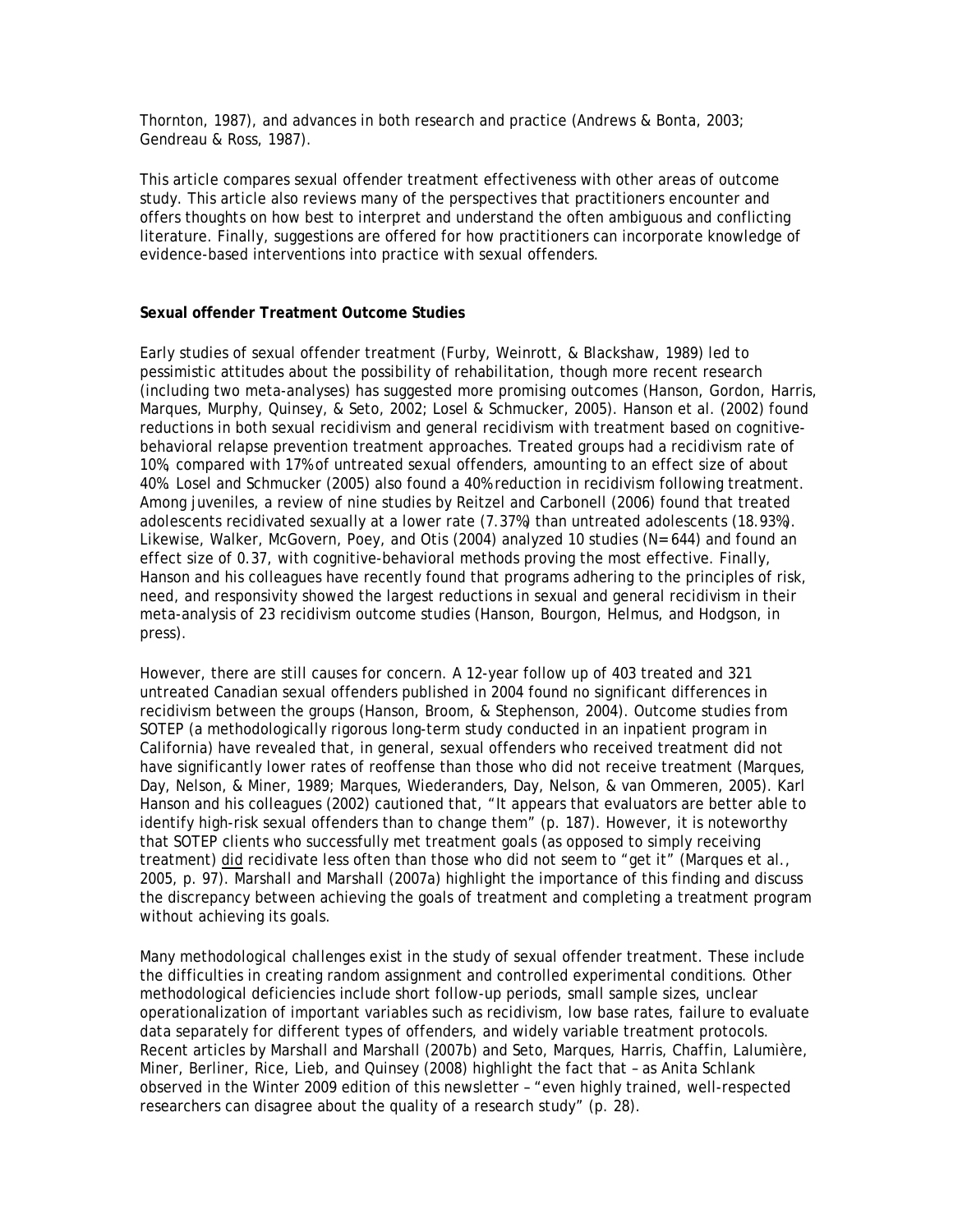Thornton, 1987), and advances in both research and practice (Andrews & Bonta, 2003; Gendreau & Ross, 1987).

This article compares sexual offender treatment effectiveness with other areas of outcome study. This article also reviews many of the perspectives that practitioners encounter and offers thoughts on how best to interpret and understand the often ambiguous and conflicting literature. Finally, suggestions are offered for how practitioners can incorporate knowledge of evidence-based interventions into practice with sexual offenders.

## **Sexual offender Treatment Outcome Studies**

Early studies of sexual offender treatment (Furby, Weinrott, & Blackshaw, 1989) led to pessimistic attitudes about the possibility of rehabilitation, though more recent research (including two meta-analyses) has suggested more promising outcomes (Hanson, Gordon, Harris, Marques, Murphy, Quinsey, & Seto, 2002; Losel & Schmucker, 2005). Hanson et al. (2002) found reductions in both sexual recidivism and general recidivism with treatment based on cognitivebehavioral relapse prevention treatment approaches. Treated groups had a recidivism rate of 10%, compared with 17% of untreated sexual offenders, amounting to an effect size of about 40%. Losel and Schmucker (2005) also found a 40% reduction in recidivism following treatment. Among juveniles, a review of nine studies by Reitzel and Carbonell (2006) found that treated adolescents recidivated sexually at a lower rate (7.37%) than untreated adolescents (18.93%). Likewise, Walker, McGovern, Poey, and Otis (2004) analyzed 10 studies (N= 644) and found an effect size of 0.37, with cognitive-behavioral methods proving the most effective. Finally, Hanson and his colleagues have recently found that programs adhering to the principles of risk, need, and responsivity showed the largest reductions in sexual and general recidivism in their meta-analysis of 23 recidivism outcome studies (Hanson, Bourgon, Helmus, and Hodgson, in press).

However, there are still causes for concern. A 12-year follow up of 403 treated and 321 untreated Canadian sexual offenders published in 2004 found no significant differences in recidivism between the groups (Hanson, Broom, & Stephenson, 2004). Outcome studies from SOTEP (a methodologically rigorous long-term study conducted in an inpatient program in California) have revealed that, in general, sexual offenders who received treatment did not have significantly lower rates of reoffense than those who did not receive treatment (Marques, Day, Nelson, & Miner, 1989; Marques, Wiederanders, Day, Nelson, & van Ommeren, 2005). Karl Hanson and his colleagues (2002) cautioned that, "It appears that evaluators are better able to identify high-risk sexual offenders than to change them" (p. 187). However, it is noteworthy that SOTEP clients who successfully met treatment goals (as opposed to simply receiving treatment) did recidivate less often than those who did not seem to "get it" (Marques et al., 2005, p. 97). Marshall and Marshall (2007a) highlight the importance of this finding and discuss the discrepancy between achieving the goals of treatment and completing a treatment program without achieving its goals.

Many methodological challenges exist in the study of sexual offender treatment. These include the difficulties in creating random assignment and controlled experimental conditions. Other methodological deficiencies include short follow-up periods, small sample sizes, unclear operationalization of important variables such as recidivism, low base rates, failure to evaluate data separately for different types of offenders, and widely variable treatment protocols. Recent articles by Marshall and Marshall (2007b) and Seto, Marques, Harris, Chaffin, Lalumière, Miner, Berliner, Rice, Lieb, and Quinsey (2008) highlight the fact that – as Anita Schlank observed in the Winter 2009 edition of this newsletter – "even highly trained, well-respected researchers can disagree about the quality of a research study" (p. 28).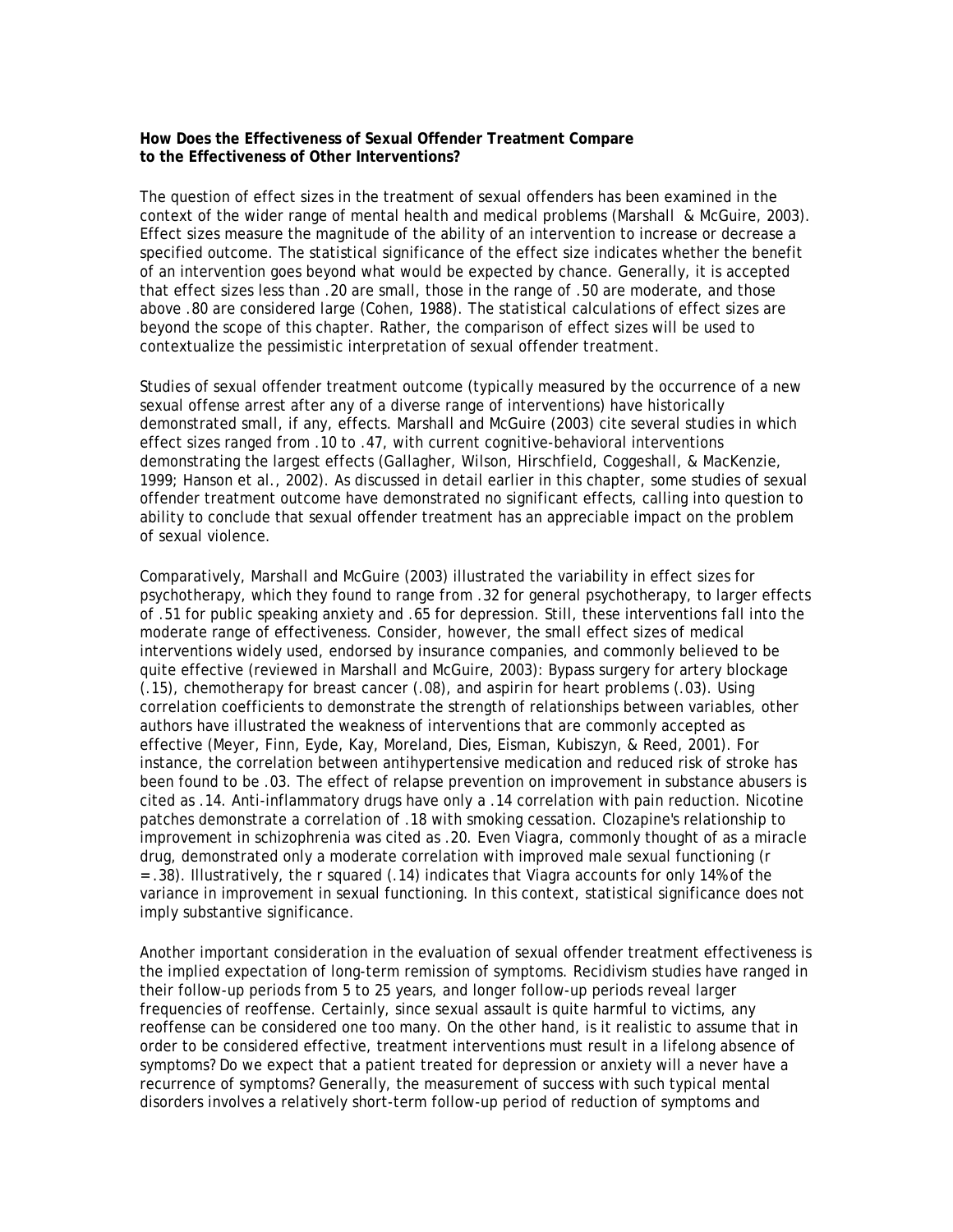#### **How Does the Effectiveness of Sexual Offender Treatment Compare to the Effectiveness of Other Interventions?**

The question of effect sizes in the treatment of sexual offenders has been examined in the context of the wider range of mental health and medical problems (Marshall & McGuire, 2003). Effect sizes measure the magnitude of the ability of an intervention to increase or decrease a specified outcome. The statistical significance of the effect size indicates whether the benefit of an intervention goes beyond what would be expected by chance. Generally, it is accepted that effect sizes less than .20 are small, those in the range of .50 are moderate, and those above .80 are considered large (Cohen, 1988). The statistical calculations of effect sizes are beyond the scope of this chapter. Rather, the comparison of effect sizes will be used to contextualize the pessimistic interpretation of sexual offender treatment.

Studies of sexual offender treatment outcome (typically measured by the occurrence of a new sexual offense arrest after any of a diverse range of interventions) have historically demonstrated small, if any, effects. Marshall and McGuire (2003) cite several studies in which effect sizes ranged from .10 to .47, with current cognitive-behavioral interventions demonstrating the largest effects (Gallagher, Wilson, Hirschfield, Coggeshall, & MacKenzie, 1999; Hanson et al., 2002). As discussed in detail earlier in this chapter, some studies of sexual offender treatment outcome have demonstrated no significant effects, calling into question to ability to conclude that sexual offender treatment has an appreciable impact on the problem of sexual violence.

Comparatively, Marshall and McGuire (2003) illustrated the variability in effect sizes for psychotherapy, which they found to range from .32 for general psychotherapy, to larger effects of .51 for public speaking anxiety and .65 for depression. Still, these interventions fall into the moderate range of effectiveness. Consider, however, the small effect sizes of medical interventions widely used, endorsed by insurance companies, and commonly believed to be quite effective (reviewed in Marshall and McGuire, 2003): Bypass surgery for artery blockage (.15), chemotherapy for breast cancer (.08), and aspirin for heart problems (.03). Using correlation coefficients to demonstrate the strength of relationships between variables, other authors have illustrated the weakness of interventions that are commonly accepted as effective (Meyer, Finn, Eyde, Kay, Moreland, Dies, Eisman, Kubiszyn, & Reed, 2001). For instance, the correlation between antihypertensive medication and reduced risk of stroke has been found to be .03. The effect of relapse prevention on improvement in substance abusers is cited as .14. Anti-inflammatory drugs have only a .14 correlation with pain reduction. Nicotine patches demonstrate a correlation of .18 with smoking cessation. Clozapine's relationship to improvement in schizophrenia was cited as .20. Even Viagra, commonly thought of as a miracle drug, demonstrated only a moderate correlation with improved male sexual functioning (r = .38). Illustratively, the r squared (.14) indicates that Viagra accounts for only 14% of the variance in improvement in sexual functioning. In this context, statistical significance does not imply substantive significance.

Another important consideration in the evaluation of sexual offender treatment effectiveness is the implied expectation of long-term remission of symptoms. Recidivism studies have ranged in their follow-up periods from 5 to 25 years, and longer follow-up periods reveal larger frequencies of reoffense. Certainly, since sexual assault is quite harmful to victims, any reoffense can be considered one too many. On the other hand, is it realistic to assume that in order to be considered effective, treatment interventions must result in a lifelong absence of symptoms? Do we expect that a patient treated for depression or anxiety will a never have a recurrence of symptoms? Generally, the measurement of success with such typical mental disorders involves a relatively short-term follow-up period of reduction of symptoms and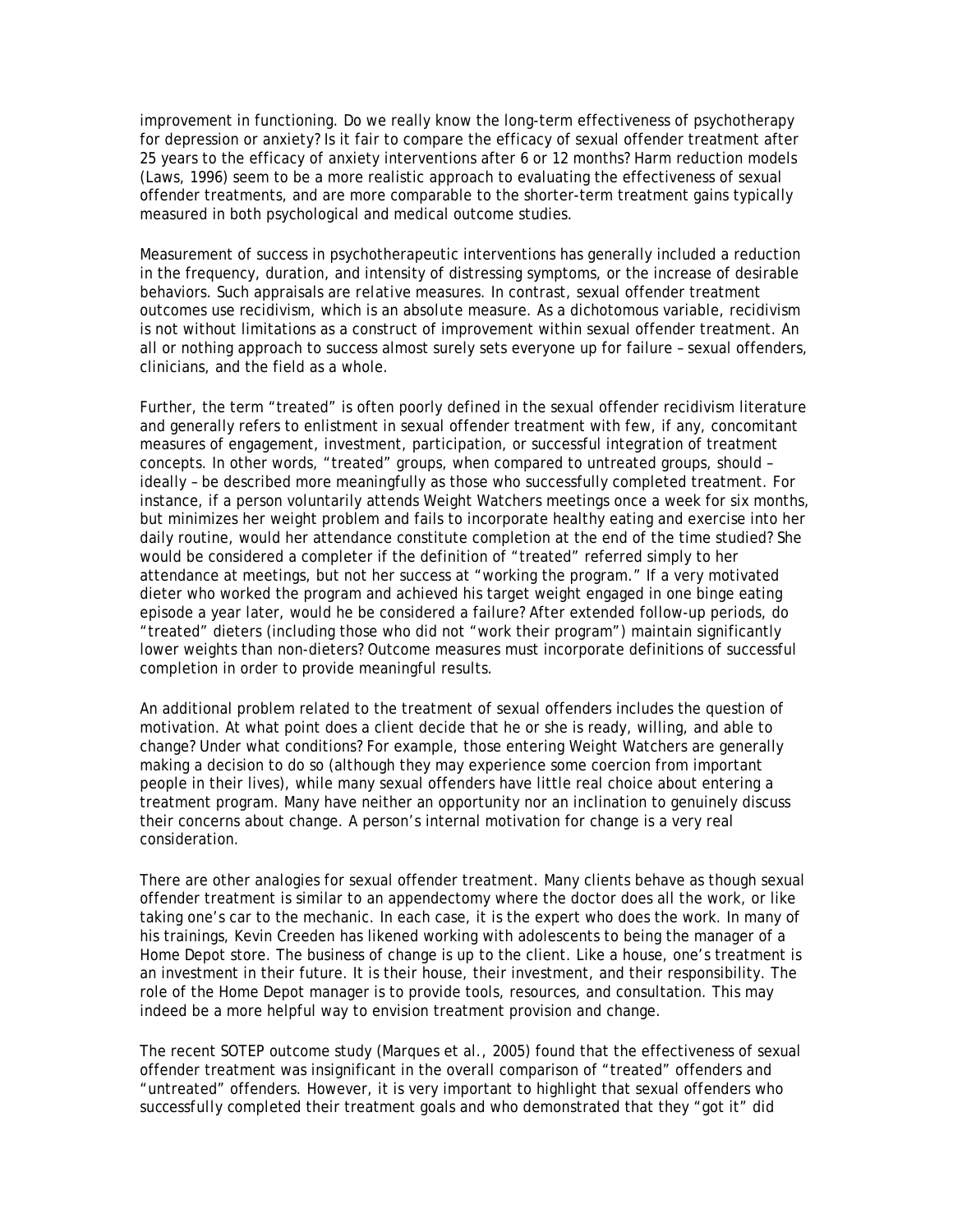improvement in functioning. Do we really know the long-term effectiveness of psychotherapy for depression or anxiety? Is it fair to compare the efficacy of sexual offender treatment after 25 years to the efficacy of anxiety interventions after 6 or 12 months? Harm reduction models (Laws, 1996) seem to be a more realistic approach to evaluating the effectiveness of sexual offender treatments, and are more comparable to the shorter-term treatment gains typically measured in both psychological and medical outcome studies.

Measurement of success in psychotherapeutic interventions has generally included a reduction in the frequency, duration, and intensity of distressing symptoms, or the increase of desirable behaviors. Such appraisals are *relative* measures. In contrast, sexual offender treatment outcomes use recidivism, which is an *absolute* measure. As a dichotomous variable, recidivism is not without limitations as a construct of improvement within sexual offender treatment. An all or nothing approach to success almost surely sets everyone up for failure – sexual offenders, clinicians, and the field as a whole.

Further, the term "treated" is often poorly defined in the sexual offender recidivism literature and generally refers to enlistment in sexual offender treatment with few, if any, concomitant measures of engagement, investment, participation, or successful integration of treatment concepts. In other words, "treated" groups, when compared to untreated groups, should – ideally – be described more meaningfully as those who successfully completed treatment. For instance, if a person voluntarily attends Weight Watchers meetings once a week for six months, but minimizes her weight problem and fails to incorporate healthy eating and exercise into her daily routine, would her attendance constitute completion at the end of the time studied? She would be considered a completer if the definition of "treated" referred simply to her attendance at meetings, but not her success at "working the program." If a very motivated dieter who worked the program and achieved his target weight engaged in one binge eating episode a year later, would he be considered a failure? After extended follow-up periods, do "treated" dieters (including those who did not "work their program") maintain significantly lower weights than non-dieters? Outcome measures must incorporate definitions of successful completion in order to provide meaningful results.

An additional problem related to the treatment of sexual offenders includes the question of motivation. At what point does a client decide that he or she is ready, willing, and able to change? Under what conditions? For example, those entering Weight Watchers are generally making a decision to do so (although they may experience some coercion from important people in their lives), while many sexual offenders have little real choice about entering a treatment program. Many have neither an opportunity nor an inclination to genuinely discuss their concerns about change. A person's internal motivation for change is a very real consideration.

There are other analogies for sexual offender treatment. Many clients behave as though sexual offender treatment is similar to an appendectomy where the doctor does all the work, or like taking one's car to the mechanic. In each case, it is the expert who does the work. In many of his trainings, Kevin Creeden has likened working with adolescents to being the manager of a Home Depot store. The business of change is up to the client. Like a house, one's treatment is an investment in their future. It is their house, their investment, and their responsibility. The role of the Home Depot manager is to provide tools, resources, and consultation. This may indeed be a more helpful way to envision treatment provision and change.

The recent SOTEP outcome study (Marques et al., 2005) found that the effectiveness of sexual offender treatment was insignificant in the overall comparison of "treated" offenders and "untreated" offenders. However, it is very important to highlight that sexual offenders who *successfully completed* their treatment goals and who demonstrated that they "got it" did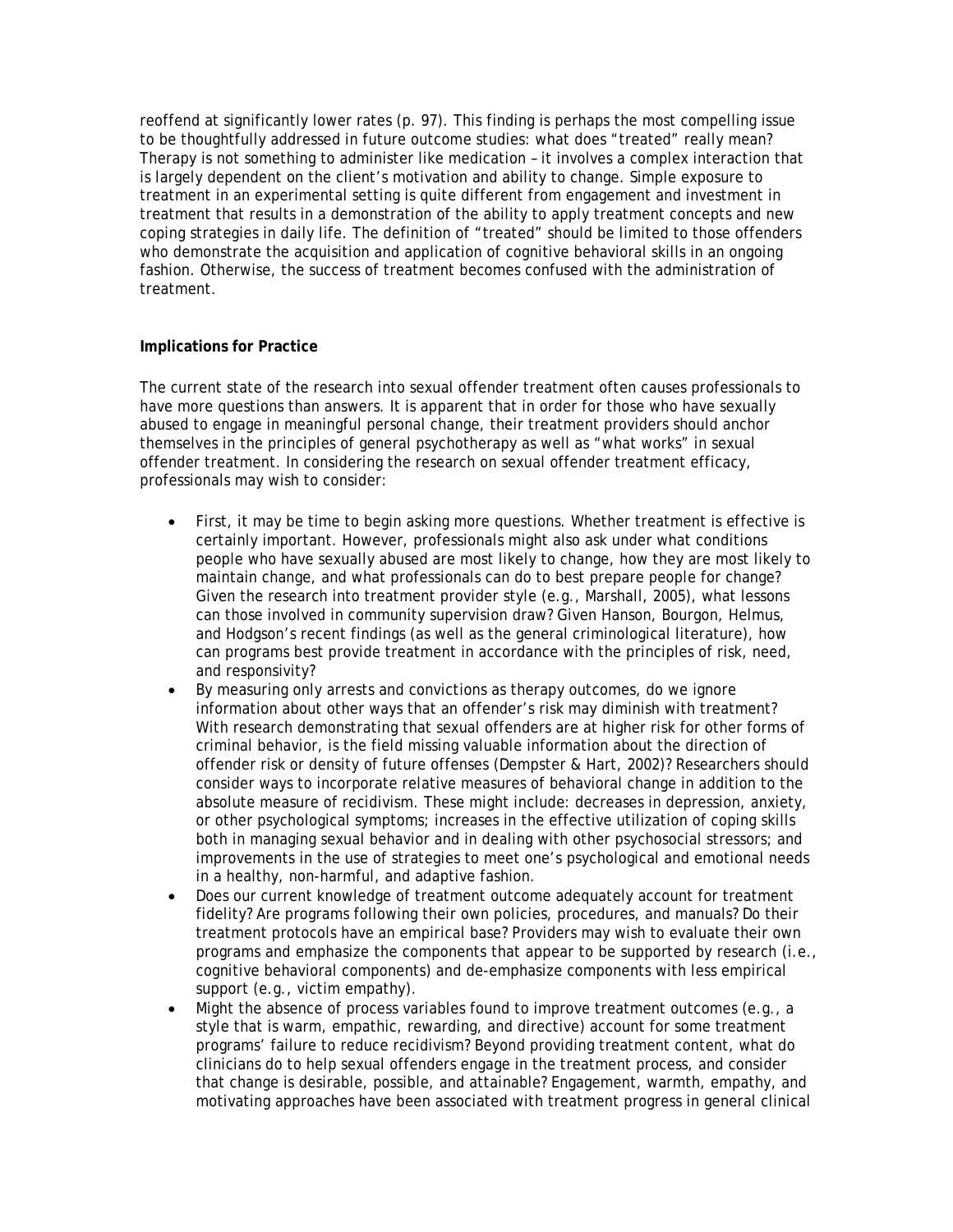reoffend at significantly lower rates (p. 97). This finding is perhaps the most compelling issue to be thoughtfully addressed in future outcome studies: what does "treated" really mean? Therapy is not something to administer like medication – it involves a complex interaction that is largely dependent on the client's motivation and ability to change. Simple exposure to treatment in an experimental setting is quite different from engagement and investment in treatment that results in a demonstration of the ability to apply treatment concepts and new coping strategies in daily life. The definition of "treated" should be limited to those offenders who demonstrate the acquisition and application of cognitive behavioral skills in an ongoing fashion. Otherwise, the success of treatment becomes confused with the administration of treatment.

## **Implications for Practice**

The current state of the research into sexual offender treatment often causes professionals to have more questions than answers. It is apparent that in order for those who have sexually abused to engage in meaningful personal change, their treatment providers should anchor themselves in the principles of general psychotherapy as well as "what works" in sexual offender treatment. In considering the research on sexual offender treatment efficacy, professionals may wish to consider:

- First, it may be time to begin asking more questions. Whether treatment is effective is certainly important. However, professionals might also ask under what conditions people who have sexually abused are most likely to change, how they are most likely to maintain change, and what professionals can do to best prepare people for change? Given the research into treatment provider style (e.g., Marshall, 2005), what lessons can those involved in community supervision draw? Given Hanson, Bourgon, Helmus, and Hodgson's recent findings (as well as the general criminological literature), how can programs best provide treatment in accordance with the principles of risk, need, and responsivity?
- By measuring only arrests and convictions as therapy outcomes, do we ignore information about other ways that an offender's risk may diminish with treatment? With research demonstrating that sexual offenders are at higher risk for other forms of criminal behavior, is the field missing valuable information about the direction of offender risk or density of future offenses (Dempster & Hart, 2002)? Researchers should consider ways to incorporate relative measures of behavioral change in addition to the absolute measure of recidivism. These might include: decreases in depression, anxiety, or other psychological symptoms; increases in the effective utilization of coping skills both in managing sexual behavior and in dealing with other psychosocial stressors; and improvements in the use of strategies to meet one's psychological and emotional needs in a healthy, non-harmful, and adaptive fashion.
- Does our current knowledge of treatment outcome adequately account for treatment fidelity? Are programs following their own policies, procedures, and manuals? Do their treatment protocols have an empirical base? Providers may wish to evaluate their own programs and emphasize the components that appear to be supported by research (i.e., cognitive behavioral components) and de-emphasize components with less empirical support (e.g., victim empathy).
- Might the absence of process variables found to improve treatment outcomes (e.g., a style that is warm, empathic, rewarding, and directive) account for some treatment programs' failure to reduce recidivism? Beyond providing treatment content, what do clinicians do to help sexual offenders engage in the treatment process, and consider that change is desirable, possible, and attainable? Engagement, warmth, empathy, and motivating approaches have been associated with treatment progress in general clinical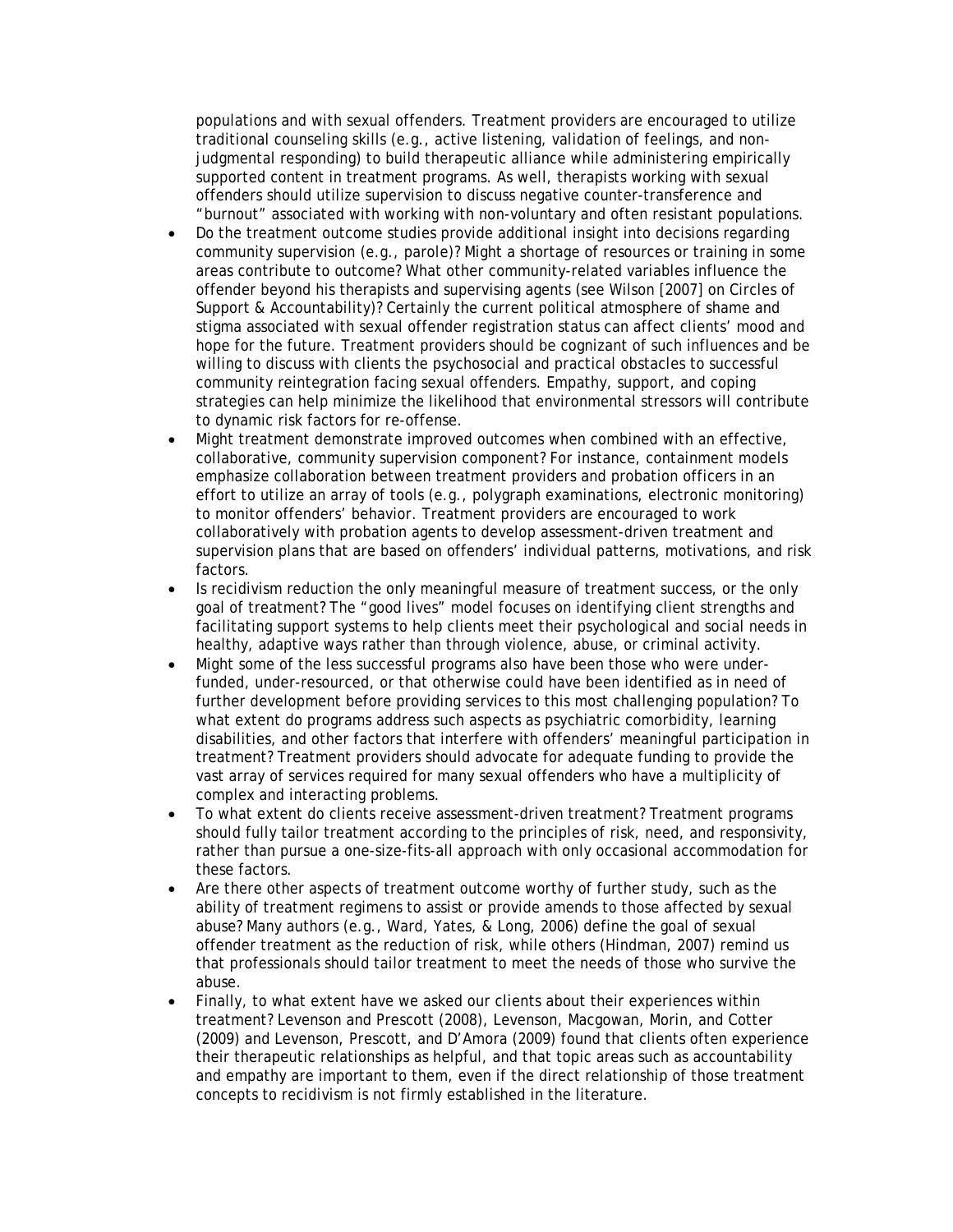populations and with sexual offenders. Treatment providers are encouraged to utilize traditional counseling skills (e.g., active listening, validation of feelings, and nonjudgmental responding) to build therapeutic alliance while administering empirically supported content in treatment programs. As well, therapists working with sexual offenders should utilize supervision to discuss negative counter-transference and "burnout" associated with working with non-voluntary and often resistant populations.

- Do the treatment outcome studies provide additional insight into decisions regarding community supervision (e.g., parole)? Might a shortage of resources or training in some areas contribute to outcome? What other community-related variables influence the offender beyond his therapists and supervising agents (see Wilson [2007] on Circles of Support & Accountability)? Certainly the current political atmosphere of shame and stigma associated with sexual offender registration status can affect clients' mood and hope for the future. Treatment providers should be cognizant of such influences and be willing to discuss with clients the psychosocial and practical obstacles to successful community reintegration facing sexual offenders. Empathy, support, and coping strategies can help minimize the likelihood that environmental stressors will contribute to dynamic risk factors for re-offense.
- Might treatment demonstrate improved outcomes when combined with an effective, collaborative, community supervision component? For instance, containment models emphasize collaboration between treatment providers and probation officers in an effort to utilize an array of tools (e.g., polygraph examinations, electronic monitoring) to monitor offenders' behavior. Treatment providers are encouraged to work collaboratively with probation agents to develop assessment-driven treatment and supervision plans that are based on offenders' individual patterns, motivations, and risk factors.
- Is recidivism reduction the only meaningful measure of treatment success, or the only goal of treatment? The "good lives" model focuses on identifying client strengths and facilitating support systems to help clients meet their psychological and social needs in healthy, adaptive ways rather than through violence, abuse, or criminal activity.
- Might some of the less successful programs also have been those who were underfunded, under-resourced, or that otherwise could have been identified as in need of further development before providing services to this most challenging population? To what extent do programs address such aspects as psychiatric comorbidity, learning disabilities, and other factors that interfere with offenders' meaningful participation in treatment? Treatment providers should advocate for adequate funding to provide the vast array of services required for many sexual offenders who have a multiplicity of complex and interacting problems.
- To what extent do clients receive assessment-driven treatment? Treatment programs should fully tailor treatment according to the principles of risk, need, and responsivity, rather than pursue a one-size-fits-all approach with only occasional accommodation for these factors.
- Are there other aspects of treatment outcome worthy of further study, such as the ability of treatment regimens to assist or provide amends to those affected by sexual abuse? Many authors (e.g., Ward, Yates, & Long, 2006) define the goal of sexual offender treatment as the reduction of risk, while others (Hindman, 2007) remind us that professionals should tailor treatment to meet the needs of those who survive the abuse.
- Finally, to what extent have we asked our clients about their experiences within treatment? Levenson and Prescott (2008), Levenson, Macgowan, Morin, and Cotter (2009) and Levenson, Prescott, and D'Amora (2009) found that clients often experience their therapeutic relationships as helpful, and that topic areas such as accountability and empathy are important to them, even if the direct relationship of those treatment concepts to recidivism is not firmly established in the literature.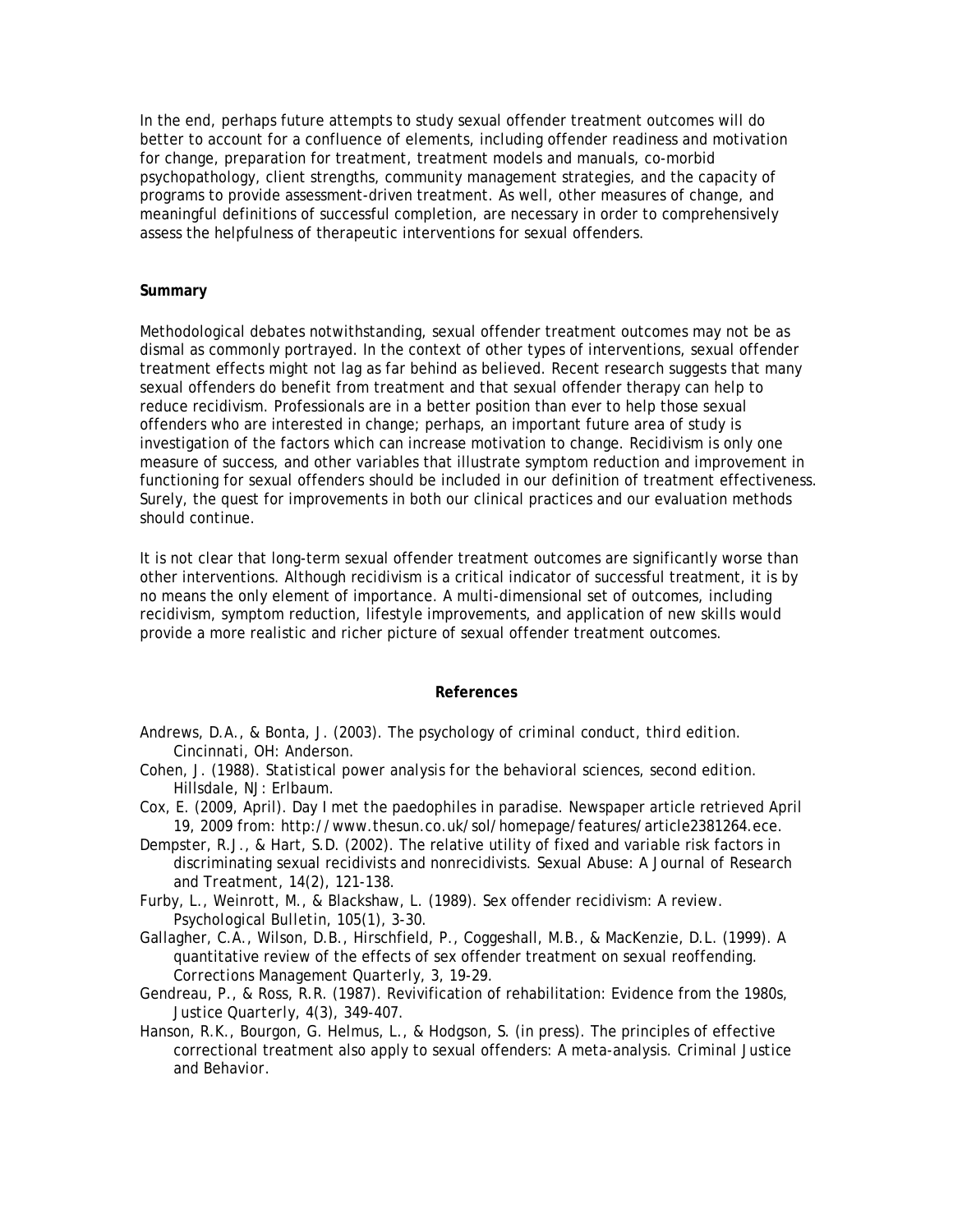In the end, perhaps future attempts to study sexual offender treatment outcomes will do better to account for a confluence of elements, including offender readiness and motivation for change, preparation for treatment, treatment models and manuals, co-morbid psychopathology, client strengths, community management strategies, and the capacity of programs to provide assessment-driven treatment. As well, other measures of change, and meaningful definitions of successful completion, are necessary in order to comprehensively assess the helpfulness of therapeutic interventions for sexual offenders.

### **Summary**

Methodological debates notwithstanding, sexual offender treatment outcomes may not be as dismal as commonly portrayed. In the context of other types of interventions, sexual offender treatment effects might not lag as far behind as believed. Recent research suggests that many sexual offenders do benefit from treatment and that sexual offender therapy can help to reduce recidivism. Professionals are in a better position than ever to help those sexual offenders who are interested in change; perhaps, an important future area of study is investigation of the factors which can increase motivation to change. Recidivism is only one measure of success, and other variables that illustrate symptom reduction and improvement in functioning for sexual offenders should be included in our definition of treatment effectiveness. Surely, the quest for improvements in both our clinical practices and our evaluation methods should continue.

It is not clear that long-term sexual offender treatment outcomes are significantly worse than other interventions. Although recidivism is a critical indicator of successful treatment, it is by no means the only element of importance. A multi-dimensional set of outcomes, including recidivism, symptom reduction, lifestyle improvements, and application of new skills would provide a more realistic and richer picture of sexual offender treatment outcomes.

#### **References**

- Andrews, D.A., & Bonta, J. (2003). *The psychology of criminal conduct, third edition.* Cincinnati, OH: Anderson.
- Cohen, J. (1988). *Statistical power analysis for the behavioral sciences, second edition.* Hillsdale, NJ: Erlbaum.
- Cox, E. (2009, April). *Day I met the paedophiles in paradise.* Newspaper article retrieved April 19, 2009 from: http://www.thesun.co.uk/sol/homepage/features/article2381264.ece.
- Dempster, R.J., & Hart, S.D. (2002). The relative utility of fixed and variable risk factors in discriminating sexual recidivists and nonrecidivists. *Sexual Abuse: A Journal of Research and Treatment, 14*(2), 121-138.
- Furby, L., Weinrott, M., & Blackshaw, L. (1989). Sex offender recidivism: A review. *Psychological Bulletin, 105*(1), 3-30.
- Gallagher, C.A., Wilson, D.B., Hirschfield, P., Coggeshall, M.B., & MacKenzie, D.L. (1999). A quantitative review of the effects of sex offender treatment on sexual reoffending. *Corrections Management Quarterly, 3*, 19-29.
- Gendreau, P., & Ross, R.R. (1987). Revivification of rehabilitation: Evidence from the 1980s, *Justice Quarterly*, *4*(3), 349-407.
- Hanson, R.K., Bourgon, G. Helmus, L., & Hodgson, S. (in press). The principles of effective correctional treatment also apply to sexual offenders: A meta-analysis. *Criminal Justice and Behavior.*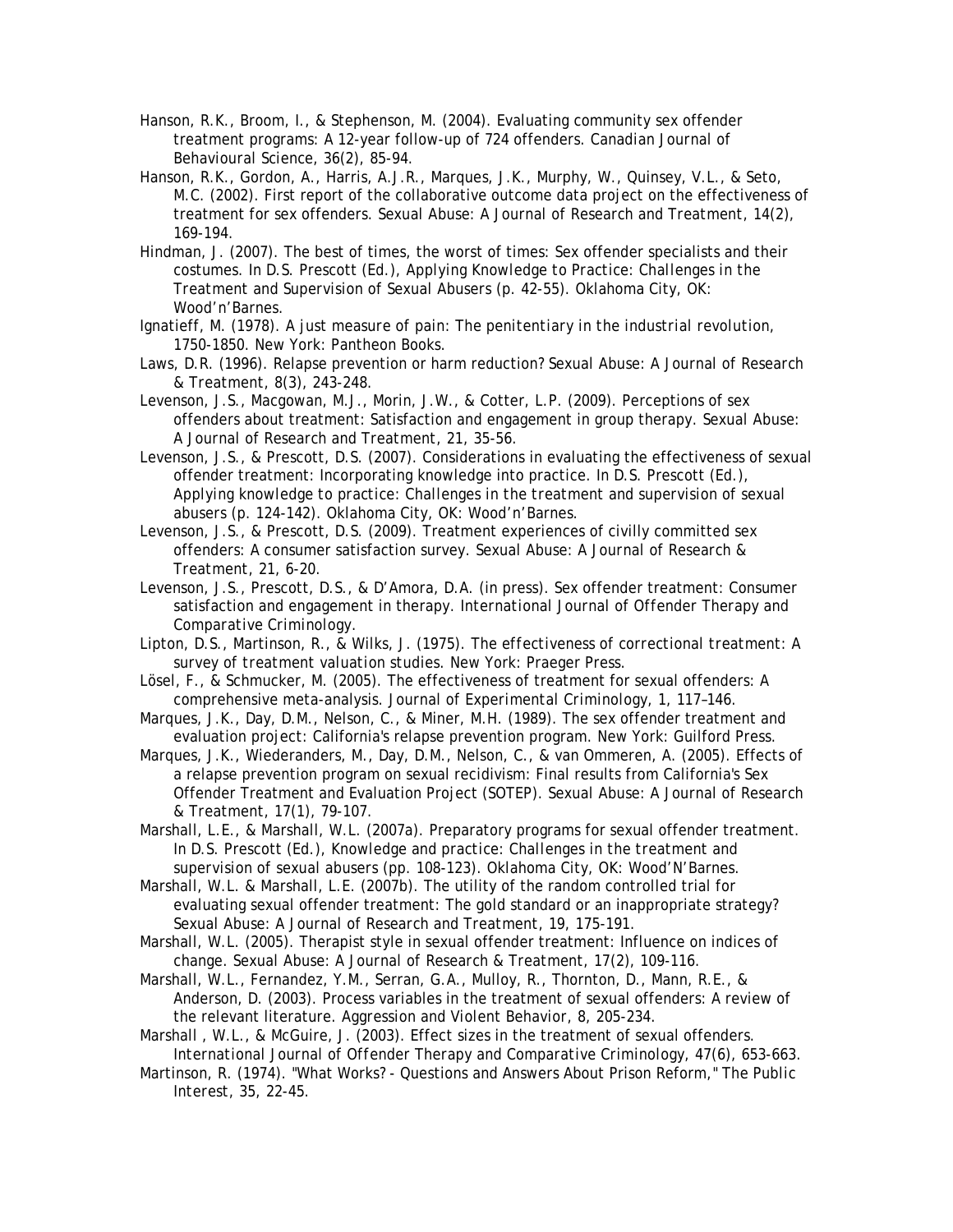- Hanson, R.K., Broom, I., & Stephenson, M. (2004). Evaluating community sex offender treatment programs: A 12-year follow-up of 724 offenders. *Canadian Journal of Behavioural Science, 36*(2), 85-94.
- Hanson, R.K., Gordon, A., Harris, A.J.R., Marques, J.K., Murphy, W., Quinsey, V.L., & Seto, M.C. (2002). First report of the collaborative outcome data project on the effectiveness of treatment for sex offenders. *Sexual Abuse: A Journal of Research and Treatment, 14*(2), 169-194.
- Hindman, J. (2007). The best of times, the worst of times: Sex offender specialists and their costumes. In D.S. Prescott (Ed.), *Applying Knowledge to Practice: Challenges in the Treatment and Supervision of Sexual Abusers* (p. 42-55). Oklahoma City, OK: Wood'n'Barnes.
- Ignatieff, M. (1978). *A just measure of pain: The penitentiary in the industrial revolution, 1750-1850.* New York: Pantheon Books.
- Laws, D.R. (1996). Relapse prevention or harm reduction? *Sexual Abuse: A Journal of Research & Treatment, 8*(3), 243-248.
- Levenson, J.S., Macgowan, M.J., Morin, J.W., & Cotter, L.P. (2009). Perceptions of sex offenders about treatment: Satisfaction and engagement in group therapy. *Sexual Abuse: A Journal of Research and Treatment, 21*, 35-56.
- Levenson, J.S., & Prescott, D.S. (2007). Considerations in evaluating the effectiveness of sexual offender treatment: Incorporating knowledge into practice. In D.S. Prescott (Ed.), *Applying knowledge to practice: Challenges in the treatment and supervision of sexual abusers* (p. 124-142). Oklahoma City, OK: Wood'n'Barnes.
- Levenson, J.S., & Prescott, D.S. (2009). Treatment experiences of civilly committed sex offenders: A consumer satisfaction survey. *Sexual Abuse: A Journal of Research & Treatment, 21,* 6-20.
- Levenson, J.S., Prescott, D.S., & D'Amora, D.A. (in press). Sex offender treatment: Consumer satisfaction and engagement in therapy. *International Journal of Offender Therapy and Comparative Criminology.*
- Lipton, D.S., Martinson, R., & Wilks, J. (1975). *The effectiveness of correctional treatment: A survey of treatment valuation studies.* New York: Praeger Press.
- Lösel, F., & Schmucker, M. (2005). The effectiveness of treatment for sexual offenders: A comprehensive meta-analysis. *Journal of Experimental Criminology, 1*, 117–146.
- Marques, J.K., Day, D.M., Nelson, C., & Miner, M.H. (1989). The sex offender treatment and evaluation project: California's relapse prevention program. New York: Guilford Press.
- Marques, J.K., Wiederanders, M., Day, D.M., Nelson, C., & van Ommeren, A. (2005). Effects of a relapse prevention program on sexual recidivism: Final results from California's Sex Offender Treatment and Evaluation Project (SOTEP). *Sexual Abuse: A Journal of Research & Treatment, 17*(1), 79-107.
- Marshall, L.E., & Marshall, W.L. (2007a). Preparatory programs for sexual offender treatment. In D.S. Prescott (Ed.), *Knowledge and practice: Challenges in the treatment and supervision of sexual abusers* (pp. 108-123). Oklahoma City, OK: Wood'N'Barnes.
- Marshall, W.L. & Marshall, L.E. (2007b). The utility of the random controlled trial for evaluating sexual offender treatment: The gold standard or an inappropriate strategy? *Sexual Abuse: A Journal of Research and Treatment, 19,* 175-191.
- Marshall, W.L. (2005). Therapist style in sexual offender treatment: Influence on indices of change. *Sexual Abuse: A Journal of Research & Treatment, 17*(2), 109-116.
- Marshall, W.L., Fernandez, Y.M., Serran, G.A., Mulloy, R., Thornton, D., Mann, R.E., & Anderson, D. (2003). Process variables in the treatment of sexual offenders: A review of the relevant literature. *Aggression and Violent Behavior, 8*, 205-234.
- Marshall , W.L., & McGuire, J. (2003). Effect sizes in the treatment of sexual offenders. *International Journal of Offender Therapy and Comparative Criminology, 47*(6), 653-663.
- Martinson, R. (1974). "What Works? Questions and Answers About Prison Reform," *The Public Interest*, *35*, 22-45.